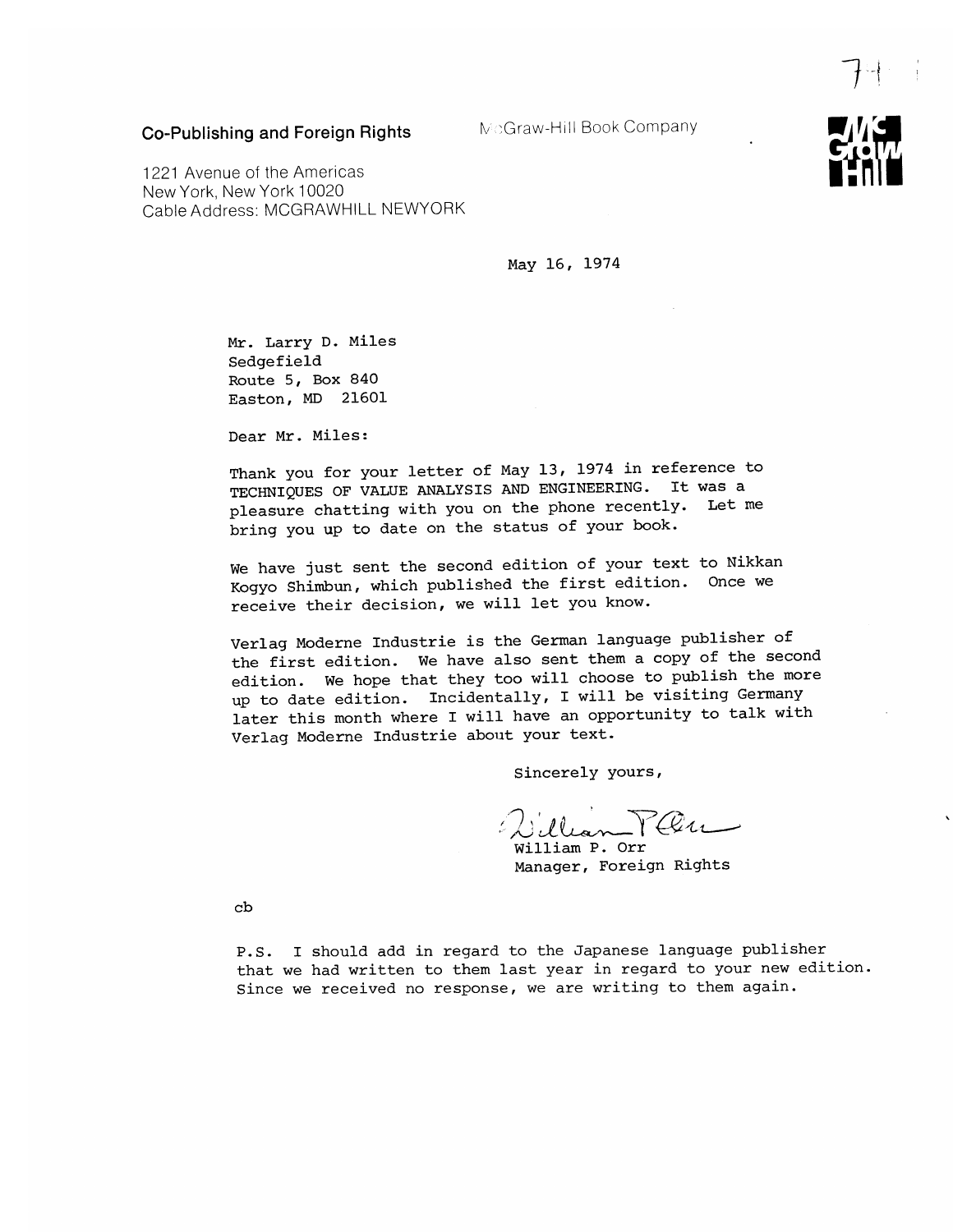Co-Publishing and Foreign Rights

McGraw-Hill Book Company

1221 Avenue of the Americas New York, New York 10020 Cable Address: MCGRAWHILL NEWYORK

May 16, 1974

Mr. Larry D. Miles Sedgefield Route 5, Box 840 Easton, MD 21601

Dear Mr. Miles:

Thank you for your letter of May 13, 1974 in reference to TECHNIQUES OF VALUE ANALYSIS AND ENGINEERING. It was a pleasure chatting with you on the phone recently. Let me bring you up to date on the status of your book.

We have just sent the second edition of your text to Nikkan Kogyo Shimbun, which published the first edition. Once we receive their decision, we will let you know.

Verlag Moderne Industrie is the German language publisher of the first edition. We have also sent them a copy of the second edition. We hope that they too will choose to publish the more up to date edition. Incidentally, I will be visiting Germany later this month where I will have an opportunity to talk with Verlag Moderne Industrie about your text.

Sincerely yours,

William P. Orr Manager, Foreign Rights

 $cb$ 

P.S. I should add in regard to the Japanese language publisher that we had written to them last year in regard to your new edition. Since we received no response, we are writing to them again.